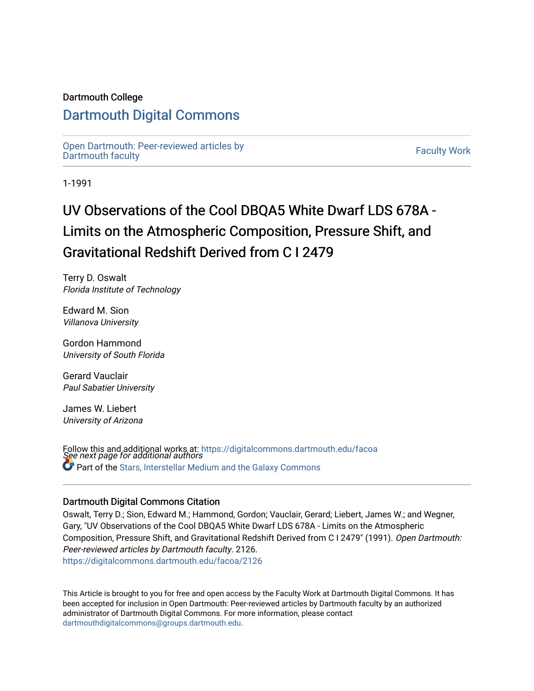### Dartmouth College

# [Dartmouth Digital Commons](https://digitalcommons.dartmouth.edu/)

[Open Dartmouth: Peer-reviewed articles by](https://digitalcommons.dartmouth.edu/facoa)  Open Dartmouth Feel-Teviewed articles by the control of the control of Faculty Work<br>[Dartmouth faculty](https://digitalcommons.dartmouth.edu/facoa)

1-1991

# UV Observations of the Cool DBQA5 White Dwarf LDS 678A - Limits on the Atmospheric Composition, Pressure Shift, and Gravitational Redshift Derived from C I 2479

Terry D. Oswalt Florida Institute of Technology

Edward M. Sion Villanova University

Gordon Hammond University of South Florida

Gerard Vauclair Paul Sabatier University

James W. Liebert University of Arizona

Follow this and additional works at: [https://digitalcommons.dartmouth.edu/facoa](https://digitalcommons.dartmouth.edu/facoa?utm_source=digitalcommons.dartmouth.edu%2Ffacoa%2F2126&utm_medium=PDF&utm_campaign=PDFCoverPages)<br>See next page for additional authors Part of the [Stars, Interstellar Medium and the Galaxy Commons](http://network.bepress.com/hgg/discipline/127?utm_source=digitalcommons.dartmouth.edu%2Ffacoa%2F2126&utm_medium=PDF&utm_campaign=PDFCoverPages) 

#### Dartmouth Digital Commons Citation

Oswalt, Terry D.; Sion, Edward M.; Hammond, Gordon; Vauclair, Gerard; Liebert, James W.; and Wegner, Gary, "UV Observations of the Cool DBQA5 White Dwarf LDS 678A - Limits on the Atmospheric Composition, Pressure Shift, and Gravitational Redshift Derived from C I 2479" (1991). Open Dartmouth: Peer-reviewed articles by Dartmouth faculty. 2126. [https://digitalcommons.dartmouth.edu/facoa/2126](https://digitalcommons.dartmouth.edu/facoa/2126?utm_source=digitalcommons.dartmouth.edu%2Ffacoa%2F2126&utm_medium=PDF&utm_campaign=PDFCoverPages) 

This Article is brought to you for free and open access by the Faculty Work at Dartmouth Digital Commons. It has been accepted for inclusion in Open Dartmouth: Peer-reviewed articles by Dartmouth faculty by an authorized administrator of Dartmouth Digital Commons. For more information, please contact [dartmouthdigitalcommons@groups.dartmouth.edu](mailto:dartmouthdigitalcommons@groups.dartmouth.edu).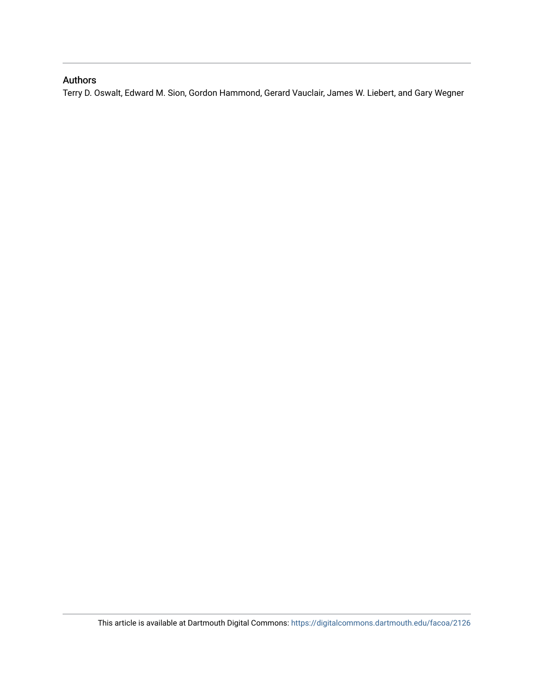## Authors

Terry D. Oswalt, Edward M. Sion, Gordon Hammond, Gerard Vauclair, James W. Liebert, and Gary Wegner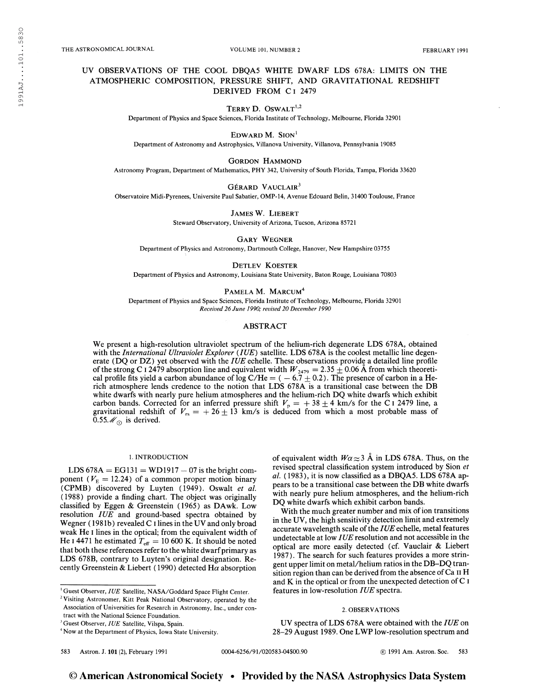THE ASTRONOMICAL JOURNAL **THE ASTRONOMICAL JOURNAL CONTROL** VOLUME 101, NUMBER 2 **FEBRUARY 1991** 

#### UV OBSERVATIONS OF THE COOL DBQA5 WHITE DWARF LDS 678A: LIMITS ON THE ATMOSPHERIC COMPOSITION, PRESSURE SHIFT, AND GRAVITATIONAL REDSHIFT DERIVED FROM C<sub>1</sub> 2479

TERRY D. OSWALT $1,2$ 

Department of Physics and Space Sciences, Florida Institute of Technology, Melbourne, Florida 32901

EDWARD M. SION $<sup>1</sup>$ </sup>

Department of Astronomy and Astrophysics, Villanova University, Villanova, Pennsylvania 19085

GORDON HAMMOND

Astronomy Program, Department of Mathematics, PHY 342, University of South Florida, Tampa, Florida 33620

GÉRARD VAUCLAIR<sup>3</sup>

Observatoire Midi-Pyrenees, Université Paul Sabatier, OMP-14, Avenue Edouard Belin, 31400 Toulouse, France

James W. Liebert

Steward Observatory, University of Arizona, Tucson, Arizona 85721

Gary Wegner

Department of Physics and Astronomy, Dartmouth College, Hanover, New Hampshire 03755

Detlev Koester

Department of Physics and Astronomy, Louisiana State University, Baton Rouge, Louisiana 70803

PAMELA M. MARCUM<sup>4</sup>

Department of Physics and Space Sciences, Florida Institute of Technology, Melbourne, Florida 32901 Received 26 June 1990; revised 20 December 1990

#### ABSTRACT

We present a high-resolution ultraviolet spectrum of the helium-rich degenerate LDS 678A, obtained with the International Ultraviolet Explorer (IUE) satellite. LDS 678A is the coolest metallic line degenerate (DQ or DZ) yet observed with the  $IUE$  echelle. These observations provide a detailed line profile of the strong C I 2479 absorption line and equivalent width  $W_{2479} = 2.35 \pm 0.06$  Å from which theoretical profile fits yield a carbon abundance of log C/He =  $(-6.7 \pm 0.2)$ . The presence of carbon in a Herich atmosphere lends credence to the notion that LDS 678A is a transitional case between the DB white dwarfs with nearly pure helium atmospheres and the helium-rich DQ white dwarfs which exhibit carbon bands. Corrected for an inferred pressure shift  $V_p = +38 \pm 4$  km/s for the C 1 2479 line, a gravitational redshift of  $V_{rs} = +26 \pm 13$  km/s is deduced from which a most probable mass of 0.55 $\mathcal{M}_{\odot}$  is derived.

#### 1. INTRODUCTION

LDS  $678A = EG131 = WD1917 - 07$  is the bright component ( $V<sub>E</sub> = 12.24$ ) of a common proper motion binary (CPMB) discovered by Luyten (1949). Oswalt et al. (1988) provide a finding chart. The object was originally classified by Eggen & Greenstein (1965) as DAwk. Low resolution IUE and ground-based spectra obtained by Wegner (1981b) revealed C <sup>1</sup> lines in the UV and only broad weak He <sup>1</sup> lines in the optical; from the equivalent width of He i 4471 he estimated  $T_{\text{eff}} = 10\,600$  K. It should be noted that both these references refer to the white dwarf primary as LDS 678B, contrary to Luyten's original designation. Recently Greenstein & Liebert (1990) detected H $\alpha$  absorption

<sup>1</sup> Guest Observer, IUE Satellite, NASA/Goddard Space Flight Center.

of equivalent width  $W\alpha \approx 3$  Å in LDS 678A. Thus, on the revised spectral classification system introduced by Sion et al.  $(1983)$ , it is now classified as a DBQA5. LDS 678A appears to be a transitional case between the DB white dwarfs with nearly pure helium atmospheres, and the helium-rich DQ white dwarfs which exhibit carbon bands.

With the much greater number and mix of ion transitions in the UV, the high sensitivity detection limit and extremely accurate wavelength scale of the  $IUE$  echelle, metal features undetectable at low IUE resolution and not accessible in the optical are more easily detected (cf. Vauclair & Liebert 1987). The search for such features provides a more stringent upper limit on metal/helium ratios in the DB-DQ transition region than can be derived from the absence of Ca  $\scriptstyle\rm II$  H and  $K$  in the optical or from the unexpected detection of  $C$  I features in low-resolution IUE spectra.

#### 2. OBSERVATIONS

UV spectra of LDS 678A were obtained with the IUE on 28-29 August 1989. One LWP low-resolution spectrum and

<sup>&</sup>lt;sup>2</sup> Visiting Astronomer, Kitt Peak National Observatory, operated by the Association of Universities for Research in Astronomy, Inc., under contract with the National Science Foundation.

<sup>&</sup>lt;sup>3</sup> Guest Observer, IUE Satellite, Vilspa, Spain.

<sup>4</sup> Now at the Department of Physics, Iowa State University.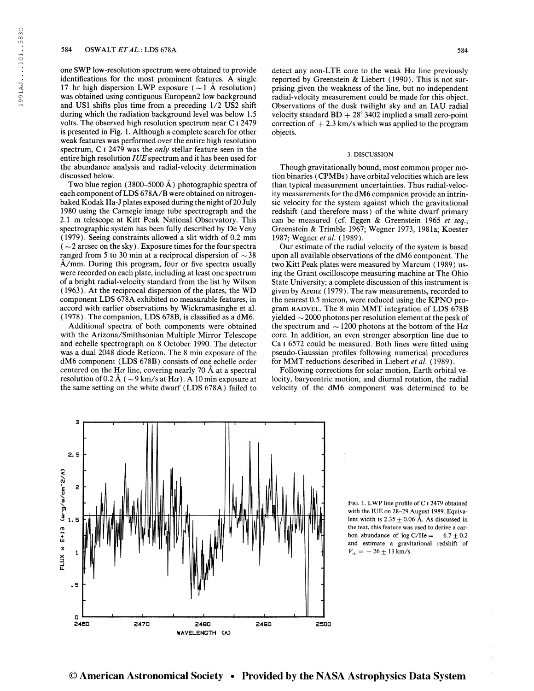one SWP low-resolution spectrum were obtained to provide identifications for the most prominent features. A single 17 hr high dispersion LWP exposure ( $\sim$ 1 Å resolution) was obtained using contiguous European2 low background and US1 shifts plus time from a preceding 1/2 US2 shift during which the radiation background level was below 1.5 volts. The observed high resolution spectrum near C I 2479 is presented in Fig. 1. Although a complete search for other weak features was performed over the entire high resolution spectrum, C I 2479 was the *only* stellar feature seen in the entire high resolution  $IUE$  spectrum and it has been used for the abundance analysis and radial-velocity determination discussed below.

Two blue region (3800–5000  $\AA$ ) photographic spectra of each component of LDS 678A/B were obtained on nitrogenbaked Kodak IIa-J plates exposed during the night of 20 July 1980 using the Carnegie image tube spectrograph and the 2.1 m telescope at Kitt Peak National Observatory. This spectrographic system has been fully described by De Veny (1979). Seeing constraints allowed a slit width of 0.2 mm  $\sim$  2 arcsec on the sky). Exposure times for the four spectra ranged from 5 to 30 min at a reciprocal dispersion of  $\sim$  38 A/mm. During this program, four or five spectra usually were recorded on each plate, including at least one spectrum of a bright radial-velocity standard from the list by Wilson ( 1963). At the reciprocal dispersion of the plates, the WD component LDS 678A exhibited no measurable features, in accord with earlier observations by Wickramasinghe et al. (1978). The companion, LDS 678B, is classified as a dM6.

Additional spectra of both components were obtained with the Arizona/Smithsonian Multiple Mirror Telescope and echelle spectrograph on 8 October 1990. The detector was a dual 2048 diode Reticon. The 8 min exposure of the dM6 component (LDS 678B) consists of one echelle order centered on the H $\alpha$  line, covering nearly 70 Å at a spectral resolution of 0.2 Å ( $\sim$ 9 km/s at H $\alpha$ ). A 10 min exposure at the same setting on the white dwarf (LDS 678A) failed to detect any non-LTE core to the weak  $H\alpha$  line previously reported by Greenstein & Liebert (1990). This is not surprising given the weakness of the line, but no independent radial-velocity measurement could be made for this object. Observations of the dusk twilight sky and an IAU radial velocity standard  $BD + 28^{\circ} 3402$  implied a small zero-point correction of  $+2.3$  km/s which was applied to the program objects.

#### 3. DISCUSSION

Though gravitationally bound, most common proper motion binaries (CPMBs) have orbital velocities which are less than typical measurement uncertainties. Thus radial-velocity measurements for the dM6 companion provide an intrinsic velocity for the system against which the gravitational redshift (and therefore mass) of the white dwarf primary can be measured (cf. Eggen & Greenstein 1965 et seq.; Greenstein & Trimble 1967; Wegner 1973, 1981a; Koester 1987; Wegner et al. (1989).

Our estimate of the radial velocity of the system is based upon all available observations of the dM6 component. The two Kitt Peak plates were measured by Marcum ( 1989) using the Grant oscilloscope measuring machine at The Ohio State University; a complete discussion of this instrument is given by Arenz ( 1979). The raw measurements, recorded to the nearest 0.5 micron, were reduced using the KPNO program RADVEL. The 8 min MMT integration of LDS 678B yielded  $\sim$  2000 photons per resolution element at the peak of the spectrum and  $\sim$  1200 photons at the bottom of the H $\alpha$ core. In addition, an even stronger absorption line due to Ca i 6572 could be measured. Both lines were fitted using pseudo-Gaussian profiles following numerical procedures for MMT reductions described in Liebert et al. (1989).

Following corrections for solar motion, Earth orbital velocity, barycentric motion, and diurnal rotation, the radial velocity of the dM6 component was determined to be



FIG. 1. LWP line profile of C I 2479 obtained with the IUE on 28-29 August 1989. Equivalent width is  $2.35 \pm 0.06$  Å. As discussed in the text, this feature was used to derive a carbon abundance of  $log C/He = -6.7 \pm 0.2$ and estimate a gravitational redshift of  $V_{rs} = +26 \pm 13$  km/s.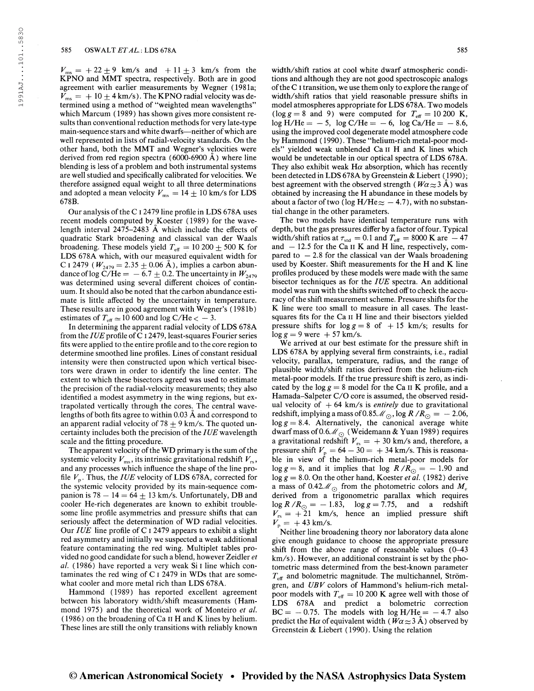1991AJ....101..5830

1991AJ...101..5830

 $V_{\text{ms}} = +22 \pm 9$  km/s and  $+11 \pm 3$  km/s from the KPNO and MMT spectra, respectively. Both are in good agreement with earlier measurements by Wegner (1981a;  $V_{\text{ms}} = +10 \pm 4 \text{ km/s}$ . The KPNO radial velocity was determined using a method of "weighted mean wavelengths" which Marcum (1989) has shown gives more consistent results than conventional reduction methods for very late-type main-sequence stars and white dwarfs—neither of which are well represented in lists of radial-velocity standards. On the other hand, both the MMT and Wegner's velocities were derived from red region spectra (6000-6900 A) where line blending is less of a problem and both instrumental systems are well studied and specifically calibrated for velocities. We therefore assigned equal weight to all three determinations and adopted a mean velocity  $V_{\text{ms}} = 14 \pm 10$  km/s for LDS 678B.

Our analysis of the C I 2479 line profile in LDS 678A uses recent models computed by Koester (1989) for the wavelength interval  $2475-2483$  Å which include the effects of quadratic Stark broadening and classical van der Waals broadening. These models yield  $T_{\text{eff}} = 10200 \pm 500$  K for LDS 678A which, with our measured equivalent width for C i 2479 ( $W_{2479} = 2.35 \pm 0.06$  Å), implies a carbon abundance of log C/He =  $-6.7 \pm 0.2$ . The uncertainty in  $W_{2479}$ was determined using several different choices of continuum. It should also be noted that the carbon abundance estimate is little affected by the uncertainty in temperature. These results are in good agreement with Wegner's (1981b) estimates of  $T_{\text{eff}} \simeq 10$  600 and log C/He  $< -3$ .

In determining the apparent radial velocity of LDS 678A from the IUE profile of C 1 2479, least-squares Fourier series fits were applied to the entire profile and to the core region to determine smoothed line profiles. Lines of constant residual intensity were then constructed upon which vertical bisectors were drawn in order to identify the line center. The extent to which these bisectors agreed was used to estimate the precision of the radial-velocity measurements; they also identified a modest asymmetry in the wing regions, but extrapolated vertically through the cores. The central wavelengths of both fits agree to within 0.03  $\AA$  and correspond to an apparent radial velocity of 78  $\pm$  9 km/s. The quoted uncertainty includes both the precision of the  $IUE$  wavelength scale and the fitting procedure.

The apparent velocity of the WD primary is the sum of the systemic velocity  $V_{\text{ms}}$ , its intrinsic gravitational redshift  $V_{\text{rs}}$ , and any processes which influence the shape of the line profile  $V_p$ . Thus, the *IUE* velocity of LDS 678A, corrected for the systemic velocity provided by its main-sequence companion is  $78 - 14 = 64 + 13$  km/s. Unfortunately, DB and cooler He-rich degenerates are known to exhibit troublesome line profile asymmetries and pressure shifts that can seriously affect the determination of WD radial velocities. Our IUE line profile of C <sup>I</sup> 2479 appears to exhibit a slight red asymmetry and initially we suspected a weak additional feature contaminating the red wing. Multiplet tables provided no good candidate for such a blend, however Zeidler et al. (1986) have reported a very weak Si <sup>I</sup> line which contaminates the red wing of  $C<sub>I</sub>$  2479 in WDs that are somewhat cooler and more metal rich than LDS 678A.

Hammond (1989) has reported excellent agreement between his laboratory width/shift measurements (Hammond 1975) and the theoretical work of Monteiro et al.  $(1986)$  on the broadening of Ca II H and K lines by helium. These lines are still the only transitions with reliably known

width/shift ratios at cool white dwarf atmospheric conditions and although they are not good spectroscopic analogs ofthe C I transition, we use them only to explore the range of width/shift ratios that yield reasonable pressure shifts in model atmospheres appropriate for LDS 678A. Two models (log  $g = 8$  and 9) were computed for  $T_{\text{eff}} = 10200 \text{ K}$ ,  $log H/He = -5$ ,  $log C/He = -6$ ,  $log Ca/He = -8.6$ , using the improved cool degenerate model atmosphere code by Hammond ( 1990). These "helium-rich metal-poor models" yielded weak unblended Ca II H and K lines which would be undetectable in our optical spectra of LDS 678A. They also exhibit weak  $H\alpha$  absorption, which has recently been detected in LDS 678A by Greenstein & Liebert (1990); best agreement with the observed strength ( $W\alpha \approx 3$  Å) was obtained by increasing the H abundance in these models by about a factor of two (log H/He $\approx$  — 4.7), with no substantial change in the other parameters.

The two models have identical temperature runs with depth, but the gas pressures differ by a factor of four. Typical width/shift ratios at  $\tau_{\text{std}} = 0.1$  and  $T_{\text{eff}} = 8000$  K are  $-47$ and  $-12.5$  for the Ca II K and H line, respectively, compared to  $-2.8$  for the classical van der Waals broadening used by Koester. Shift measurements for the H and K line profiles produced by these models were made with the same bisector techniques as for the IUE spectra. An additional model was run with the shifts switched off to check the accuracy of the shift measurement scheme. Pressure shifts for the K line were too small to measure in all cases. The leastsquares fits for the Ca II H line and their bisectors yielded pressure shifts for  $\log g = 8$  of  $+15$  km/s; results for  $\log g = 9$  were  $+57$  km/s.

We arrived at our best estimate for the pressure shift in LDS 678A by applying several firm constraints, i.e., radial velocity, parallax, temperature, radius, and the range of plausible width/shift ratios derived from the helium-rich metal-poor models. If the true pressure shift is zero, as indicated by the  $\log g = 8$  model for the Ca II K profile, and a Hamada-Salpeter C/O core is assumed, the observed residual velocity of  $+ 64$  km/s is *entirely* due to gravitational redshift, implying a mass of 0.85 $\mathcal{M}_{\odot}$ , log R /R<sub> $\odot$ </sub> =  $-$  2.06,  $log\ g = 8.4$ . Alternatively, the canonical average white dwarf mass of 0.6 $\mathcal{M}_{\odot}$  (Weidemann & Yuan 1989) requires a gravitational redshift  $V_{rs} = +30$  km/s and, therefore, a pressure shift  $V_{\text{p}} = 64 - 30 = +34 \text{ km/s}$ . This is reasonable in view of the helium-rich metal-poor models for  $\log g = 8$ , and it implies that  $\log R/R_{\odot} = -1.90$  and  $\log g = 8.0$ . On the other hand, Koester et al. (1982) derive a mass of 0.42 $\mathcal{M}_{\odot}$  from the photometric colors and  $M_{\nu}$ derived from a trigonometric parallax which requires derived from a trigonometric parallax which requires<br> $\log R/R_{\odot} = -1.83$ ,  $\log g = 7.75$ , and a redshift  $V_{rs} = +21$  km/s, hence an implied pressure shift  $V_{\rm p} = +43 \text{ km/s}.$ 

Neither line broadening theory nor laboratory data alone give enough guidance to choose the appropriate pressure shift from the above range of reasonable values (0-43 km/s). However, an additional constraint is set by the photometric mass determined from the best-known parameter  $T_{\text{eff}}$  and bolometric magnitude. The multichannel, Strömgren, and  $UBV$  colors of Hammond's helium-rich metalpoor models with  $T_{\text{eff}} = 10 200 \text{ K}$  agree well with those of LDS 678A and predict a bolometric correction  $BC = -0.75$ . The models with  $log H/He = -4.7$  also predict the H $\alpha$  of equivalent width ( $W\alpha \approx 3$  Å) observed by Greenstein & Liebert ( 1990). Using the relation